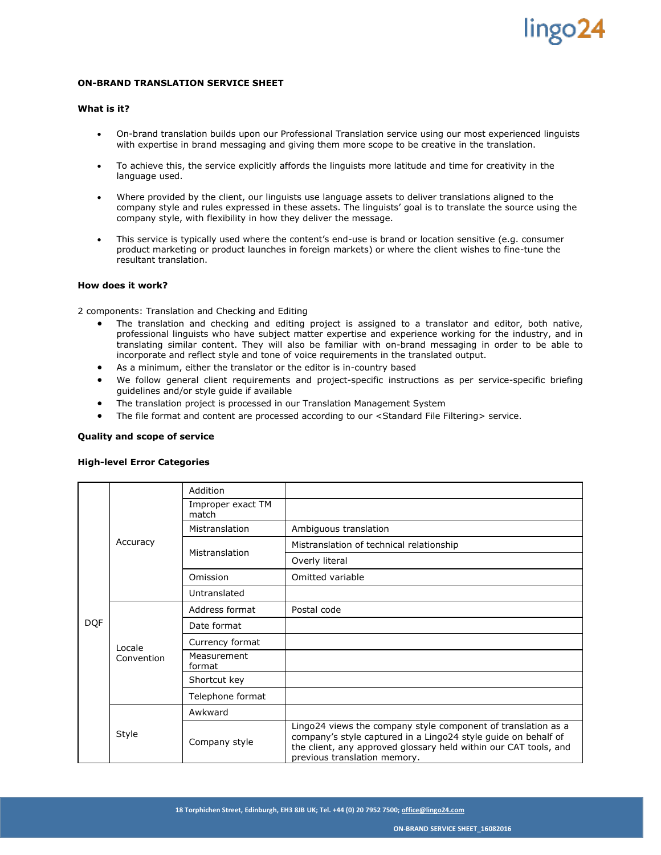## **ON-BRAND TRANSLATION SERVICE SHEET**

#### **What is it?**

- On-brand translation builds upon our Professional Translation service using our most experienced linguists with expertise in brand messaging and giving them more scope to be creative in the translation.
- To achieve this, the service explicitly affords the linguists more latitude and time for creativity in the language used.
- Where provided by the client, our linguists use language assets to deliver translations aligned to the company style and rules expressed in these assets. The linguists' goal is to translate the source using the company style, with flexibility in how they deliver the message.
- This service is typically used where the content's end-use is brand or location sensitive (e.g. consumer product marketing or product launches in foreign markets) or where the client wishes to fine-tune the resultant translation.

## **How does it work?**

2 components: Translation and Checking and Editing

- The translation and checking and editing project is assigned to a translator and editor, both native, professional linguists who have subject matter expertise and experience working for the industry, and in translating similar content. They will also be familiar with on-brand messaging in order to be able to incorporate and reflect style and tone of voice requirements in the translated output.
- As a minimum, either the translator or the editor is in-country based
- We follow general client requirements and project-specific instructions as per service-specific briefing guidelines and/or style guide if available
- The translation project is processed in our Translation Management System
- The file format and content are processed according to our <Standard File Filtering> service.

#### **Quality and scope of service**

#### **High-level Error Categories**

|            |                      | Addition                   |                                                                                                                                                                                                                                     |
|------------|----------------------|----------------------------|-------------------------------------------------------------------------------------------------------------------------------------------------------------------------------------------------------------------------------------|
| <b>DQF</b> | Accuracy             | Improper exact TM<br>match |                                                                                                                                                                                                                                     |
|            |                      | Mistranslation             | Ambiguous translation                                                                                                                                                                                                               |
|            |                      | Mistranslation             | Mistranslation of technical relationship                                                                                                                                                                                            |
|            |                      |                            | Overly literal                                                                                                                                                                                                                      |
|            |                      | Omission                   | Omitted variable                                                                                                                                                                                                                    |
|            |                      | Untranslated               |                                                                                                                                                                                                                                     |
|            | Locale<br>Convention | Address format             | Postal code                                                                                                                                                                                                                         |
|            |                      | Date format                |                                                                                                                                                                                                                                     |
|            |                      | Currency format            |                                                                                                                                                                                                                                     |
|            |                      | Measurement<br>format      |                                                                                                                                                                                                                                     |
|            |                      | Shortcut key               |                                                                                                                                                                                                                                     |
|            |                      | Telephone format           |                                                                                                                                                                                                                                     |
|            | Style                | Awkward                    |                                                                                                                                                                                                                                     |
|            |                      | Company style              | Lingo24 views the company style component of translation as a<br>company's style captured in a Lingo24 style guide on behalf of<br>the client, any approved glossary held within our CAT tools, and<br>previous translation memory. |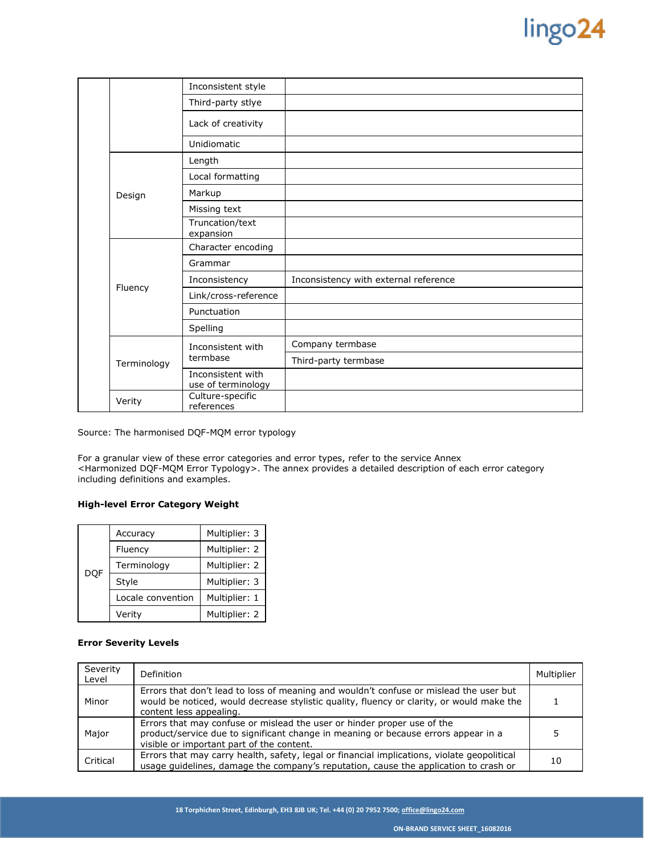# lingo<sub>24</sub>

|  |             | Inconsistent style                      |                                       |
|--|-------------|-----------------------------------------|---------------------------------------|
|  |             | Third-party stlye                       |                                       |
|  |             | Lack of creativity                      |                                       |
|  |             | Unidiomatic                             |                                       |
|  | Design      | Length                                  |                                       |
|  |             | Local formatting                        |                                       |
|  |             | Markup                                  |                                       |
|  |             | Missing text                            |                                       |
|  |             | Truncation/text<br>expansion            |                                       |
|  | Fluency     | Character encoding                      |                                       |
|  |             | Grammar                                 |                                       |
|  |             | Inconsistency                           | Inconsistency with external reference |
|  |             | Link/cross-reference                    |                                       |
|  |             | Punctuation                             |                                       |
|  |             | Spelling                                |                                       |
|  | Terminology | Inconsistent with<br>termbase           | Company termbase                      |
|  |             |                                         | Third-party termbase                  |
|  |             | Inconsistent with<br>use of terminology |                                       |
|  | Verity      | Culture-specific<br>references          |                                       |

Source: The harmonised DQF-MQM error typology

For a granular view of these error categories and error types, refer to the service Annex <Harmonized DQF-MQM Error Typology>. The annex provides a detailed description of each error category including definitions and examples.

## **High-level Error Category Weight**

|            | Accuracy          | Multiplier: 3 |
|------------|-------------------|---------------|
|            | Fluency           | Multiplier: 2 |
|            | Terminology       | Multiplier: 2 |
| <b>DQF</b> | Style             | Multiplier: 3 |
|            | Locale convention | Multiplier: 1 |
|            | Verity            | Multiplier: 2 |

## **Error Severity Levels**

| Severity<br>Level | Definition                                                                                                                                                                                                     | Multiplier |
|-------------------|----------------------------------------------------------------------------------------------------------------------------------------------------------------------------------------------------------------|------------|
| Minor             | Errors that don't lead to loss of meaning and wouldn't confuse or mislead the user but<br>would be noticed, would decrease stylistic quality, fluency or clarity, or would make the<br>content less appealing. |            |
| Major             | Errors that may confuse or mislead the user or hinder proper use of the<br>product/service due to significant change in meaning or because errors appear in a<br>visible or important part of the content.     |            |
| Critical          | Errors that may carry health, safety, legal or financial implications, violate geopolitical<br>usage guidelines, damage the company's reputation, cause the application to crash or                            | 10         |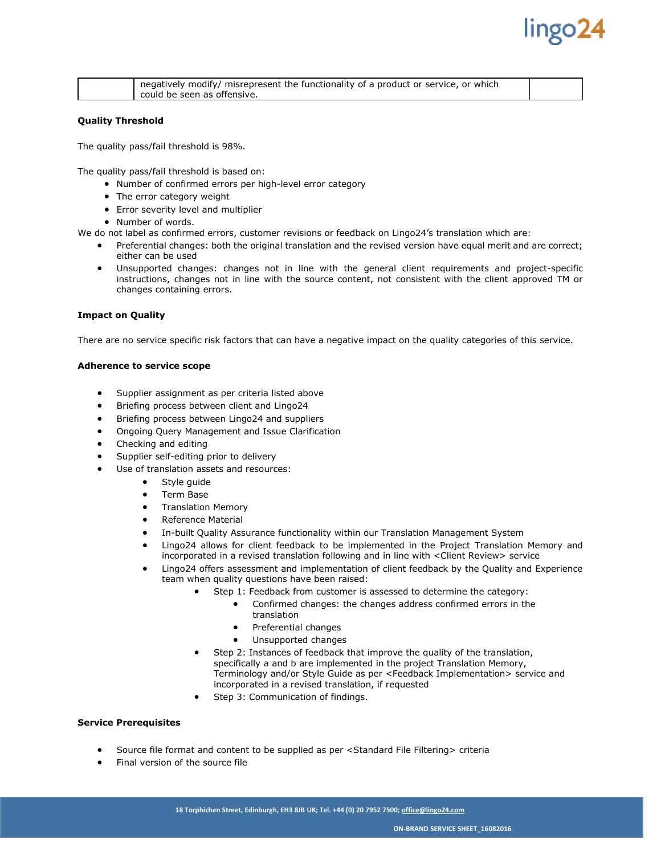| negatively modify/ misrepresent the functionality of a product or service, or which<br>could be seen as offensive. |
|--------------------------------------------------------------------------------------------------------------------|
|--------------------------------------------------------------------------------------------------------------------|

lingo24

#### **Quality Threshold**

The quality pass/fail threshold is 98%.

The quality pass/fail threshold is based on:

- Number of confirmed errors per high-level error category
- The error category weight
- Error severity level and multiplier
- Number of words.

We do not label as confirmed errors, customer revisions or feedback on Lingo24's translation which are:

- Preferential changes: both the original translation and the revised version have equal merit and are correct; either can be used
- Unsupported changes: changes not in line with the general client requirements and project-specific instructions, changes not in line with the source content, not consistent with the client approved TM or changes containing errors.

#### **Impact on Quality**

There are no service specific risk factors that can have a negative impact on the quality categories of this service.

#### **Adherence to service scope**

- Supplier assignment as per criteria listed above
- Briefing process between client and Lingo24
- Briefing process between Lingo24 and suppliers
- Ongoing Query Management and Issue Clarification
- Checking and editing
- Supplier self-editing prior to delivery
- Use of translation assets and resources:
	- Style guide
	- Term Base
	- Translation Memory
	- Reference Material
	- In-built Quality Assurance functionality within our Translation Management System
	- Lingo24 allows for client feedback to be implemented in the Project Translation Memory and incorporated in a revised translation following and in line with <Client Review> service
	- Lingo24 offers assessment and implementation of client feedback by the Quality and Experience team when quality questions have been raised:
		- Step 1: Feedback from customer is assessed to determine the category:
			- Confirmed changes: the changes address confirmed errors in the translation
			- Preferential changes
			- Unsupported changes
		- Step 2: Instances of feedback that improve the quality of the translation, specifically a and b are implemented in the project Translation Memory, Terminology and/or Style Guide as per <Feedback Implementation> service and incorporated in a revised translation, if requested
		- Step 3: Communication of findings.

#### **Service Prerequisites**

- Source file format and content to be supplied as per <Standard File Filtering> criteria
- Final version of the source file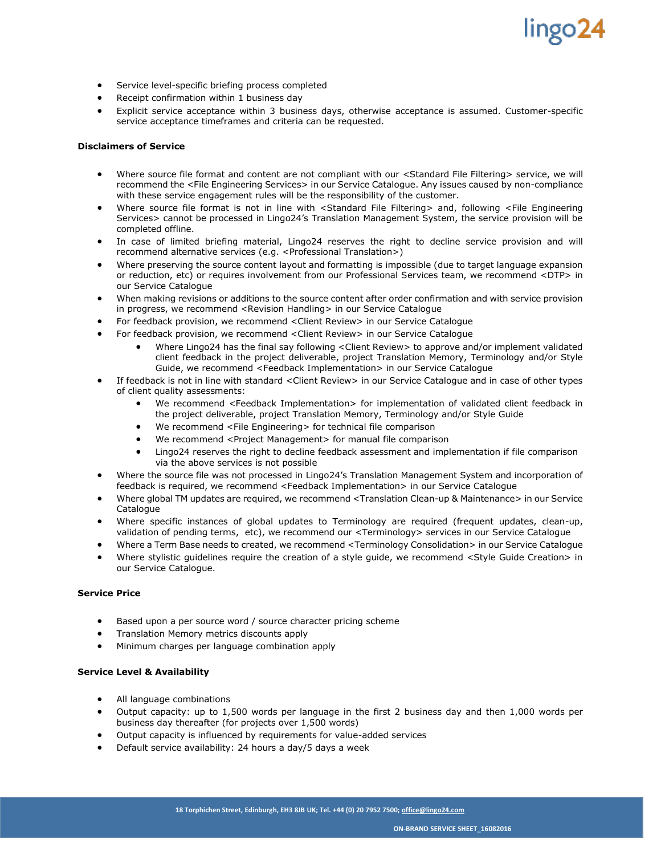## lingo24

- **•** Service level-specific briefing process completed
- Receipt confirmation within 1 business day
- Explicit service acceptance within 3 business days, otherwise acceptance is assumed. Customer-specific service acceptance timeframes and criteria can be requested.

#### **Disclaimers of Service**

- Where source file format and content are not compliant with our <Standard File Filtering> service, we will recommend the <File Engineering Services> in our Service Catalogue. Any issues caused by non-compliance with these service engagement rules will be the responsibility of the customer.
- Where source file format is not in line with <Standard File Filtering> and, following <File Engineering Services> cannot be processed in Lingo24's Translation Management System, the service provision will be completed offline.
- In case of limited briefing material, Lingo24 reserves the right to decline service provision and will recommend alternative services (e.g. <Professional Translation>)
- Where preserving the source content layout and formatting is impossible (due to target language expansion or reduction, etc) or requires involvement from our Professional Services team, we recommend <DTP> in our Service Catalogue
- When making revisions or additions to the source content after order confirmation and with service provision in progress, we recommend <Revision Handling> in our Service Catalogue
- For feedback provision, we recommend <Client Review> in our Service Catalogue
- For feedback provision, we recommend <Client Review> in our Service Catalogue
	- Where Lingo24 has the final say following <Client Review> to approve and/or implement validated client feedback in the project deliverable, project Translation Memory, Terminology and/or Style Guide, we recommend <Feedback Implementation> in our Service Catalogue
- If feedback is not in line with standard <Client Review> in our Service Catalogue and in case of other types of client quality assessments:
	- We recommend <Feedback Implementation> for implementation of validated client feedback in the project deliverable, project Translation Memory, Terminology and/or Style Guide
	- We recommend <File Engineering> for technical file comparison
	- We recommend <Project Management> for manual file comparison
	- Lingo24 reserves the right to decline feedback assessment and implementation if file comparison via the above services is not possible
- Where the source file was not processed in Lingo24's Translation Management System and incorporation of feedback is required, we recommend <Feedback Implementation> in our Service Catalogue
- Where global TM updates are required, we recommend <Translation Clean-up & Maintenance> in our Service **Catalogue**
- Where specific instances of global updates to Terminology are required (frequent updates, clean-up, validation of pending terms, etc), we recommend our <Terminology> services in our Service Catalogue
- Where a Term Base needs to created, we recommend <Terminology Consolidation> in our Service Catalogue
- Where stylistic guidelines require the creation of a style guide, we recommend <Style Guide Creation> in our Service Catalogue.

### **Service Price**

- Based upon a per source word / source character pricing scheme
- Translation Memory metrics discounts apply
- Minimum charges per language combination apply

#### **Service Level & Availability**

- All language combinations
- Output capacity: up to 1,500 words per language in the first 2 business day and then 1,000 words per business day thereafter (for projects over 1,500 words)
- Output capacity is influenced by requirements for value-added services
- Default service availability: 24 hours a day/5 days a week